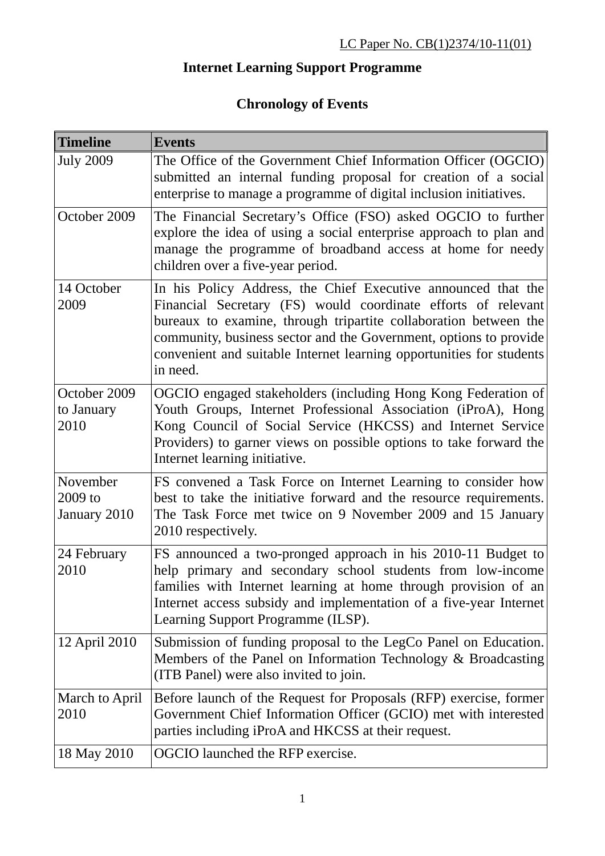## **Internet Learning Support Programme**

## **Chronology of Events**

| <b>Timeline</b>                       | <b>Events</b>                                                                                                                                                                                                                                                                                                                                               |
|---------------------------------------|-------------------------------------------------------------------------------------------------------------------------------------------------------------------------------------------------------------------------------------------------------------------------------------------------------------------------------------------------------------|
| <b>July 2009</b>                      | The Office of the Government Chief Information Officer (OGCIO)<br>submitted an internal funding proposal for creation of a social<br>enterprise to manage a programme of digital inclusion initiatives.                                                                                                                                                     |
| October 2009                          | The Financial Secretary's Office (FSO) asked OGCIO to further<br>explore the idea of using a social enterprise approach to plan and<br>manage the programme of broadband access at home for needy<br>children over a five-year period.                                                                                                                      |
| 14 October<br>2009                    | In his Policy Address, the Chief Executive announced that the<br>Financial Secretary (FS) would coordinate efforts of relevant<br>bureaux to examine, through tripartite collaboration between the<br>community, business sector and the Government, options to provide<br>convenient and suitable Internet learning opportunities for students<br>in need. |
| October 2009<br>to January<br>2010    | OGCIO engaged stakeholders (including Hong Kong Federation of<br>Youth Groups, Internet Professional Association (iProA), Hong<br>Kong Council of Social Service (HKCSS) and Internet Service<br>Providers) to garner views on possible options to take forward the<br>Internet learning initiative.                                                        |
| November<br>$2009$ to<br>January 2010 | FS convened a Task Force on Internet Learning to consider how<br>best to take the initiative forward and the resource requirements.<br>The Task Force met twice on 9 November 2009 and 15 January<br>2010 respectively.                                                                                                                                     |
| 24 February<br>2010                   | FS announced a two-pronged approach in his 2010-11 Budget to<br>help primary and secondary school students from low-income<br>families with Internet learning at home through provision of an<br>Internet access subsidy and implementation of a five-year Internet<br>Learning Support Programme (ILSP).                                                   |
| 12 April 2010                         | Submission of funding proposal to the LegCo Panel on Education.<br>Members of the Panel on Information Technology & Broadcasting<br>(ITB Panel) were also invited to join.                                                                                                                                                                                  |
| March to April<br>2010                | Before launch of the Request for Proposals (RFP) exercise, former<br>Government Chief Information Officer (GCIO) met with interested<br>parties including iProA and HKCSS at their request.                                                                                                                                                                 |
| 18 May 2010                           | OGCIO launched the RFP exercise.                                                                                                                                                                                                                                                                                                                            |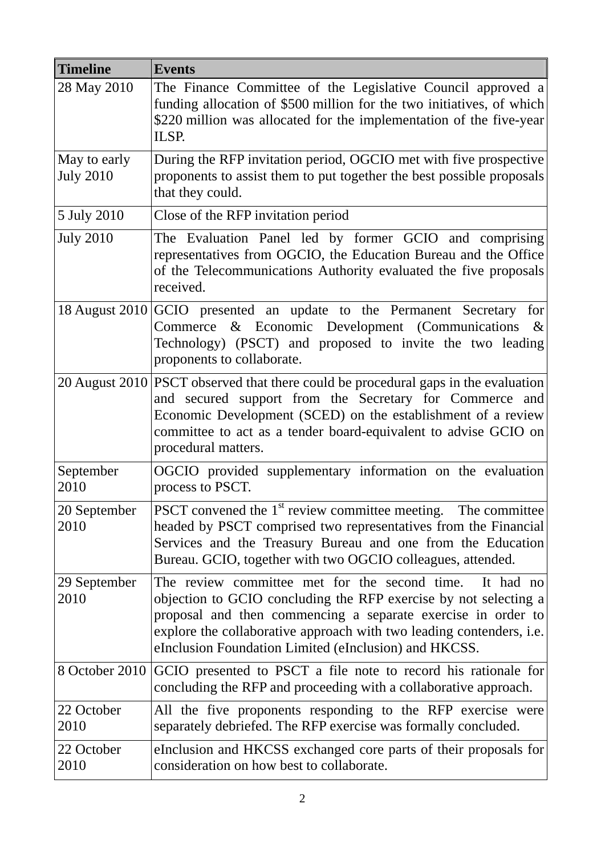| <b>Timeline</b>                  | <b>Events</b>                                                                                                                                                                                                                                                                                                                          |
|----------------------------------|----------------------------------------------------------------------------------------------------------------------------------------------------------------------------------------------------------------------------------------------------------------------------------------------------------------------------------------|
| 28 May 2010                      | The Finance Committee of the Legislative Council approved a<br>funding allocation of \$500 million for the two initiatives, of which<br>\$220 million was allocated for the implementation of the five-year<br>ILSP.                                                                                                                   |
| May to early<br><b>July 2010</b> | During the RFP invitation period, OGCIO met with five prospective<br>proponents to assist them to put together the best possible proposals<br>that they could.                                                                                                                                                                         |
| 5 July 2010                      | Close of the RFP invitation period                                                                                                                                                                                                                                                                                                     |
| <b>July 2010</b>                 | The Evaluation Panel led by former GCIO and comprising<br>representatives from OGCIO, the Education Bureau and the Office<br>of the Telecommunications Authority evaluated the five proposals<br>received.                                                                                                                             |
|                                  | 18 August 2010 GCIO presented an update to the Permanent Secretary for<br>Commerce & Economic Development (Communications &<br>Technology) (PSCT) and proposed to invite the two leading<br>proponents to collaborate.                                                                                                                 |
|                                  | 20 August 2010 PSCT observed that there could be procedural gaps in the evaluation<br>and secured support from the Secretary for Commerce and<br>Economic Development (SCED) on the establishment of a review<br>committee to act as a tender board-equivalent to advise GCIO on<br>procedural matters.                                |
| September<br>2010                | OGCIO provided supplementary information on the evaluation<br>process to PSCT.                                                                                                                                                                                                                                                         |
| 20 September<br>2010             | PSCT convened the $1st$ review committee meeting. The committee<br>headed by PSCT comprised two representatives from the Financial<br>Services and the Treasury Bureau and one from the Education<br>Bureau. GCIO, together with two OGCIO colleagues, attended.                                                                       |
| 29 September<br>2010             | The review committee met for the second time.<br>It had no<br>objection to GCIO concluding the RFP exercise by not selecting a<br>proposal and then commencing a separate exercise in order to<br>explore the collaborative approach with two leading contenders, <i>i.e.</i><br>eInclusion Foundation Limited (eInclusion) and HKCSS. |
|                                  | 8 October 2010 GCIO presented to PSCT a file note to record his rationale for<br>concluding the RFP and proceeding with a collaborative approach.                                                                                                                                                                                      |
| 22 October<br>2010               | All the five proponents responding to the RFP exercise were<br>separately debriefed. The RFP exercise was formally concluded.                                                                                                                                                                                                          |
| 22 October<br>2010               | elnclusion and HKCSS exchanged core parts of their proposals for<br>consideration on how best to collaborate.                                                                                                                                                                                                                          |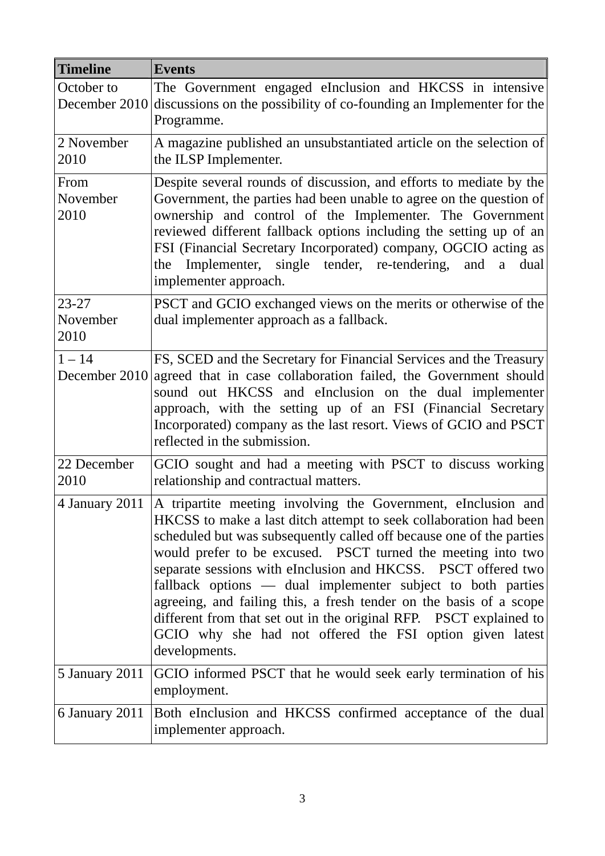| <b>Timeline</b>               | <b>Events</b>                                                                                                                                                                                                                                                                                                                                                                                                                                                                                                                                                                                                                       |
|-------------------------------|-------------------------------------------------------------------------------------------------------------------------------------------------------------------------------------------------------------------------------------------------------------------------------------------------------------------------------------------------------------------------------------------------------------------------------------------------------------------------------------------------------------------------------------------------------------------------------------------------------------------------------------|
| October to                    | The Government engaged eInclusion and HKCSS in intensive<br>December $2010$ discussions on the possibility of co-founding an Implementer for the<br>Programme.                                                                                                                                                                                                                                                                                                                                                                                                                                                                      |
| 2 November<br>2010            | A magazine published an unsubstantiated article on the selection of<br>the ILSP Implementer.                                                                                                                                                                                                                                                                                                                                                                                                                                                                                                                                        |
| From<br>November<br>2010      | Despite several rounds of discussion, and efforts to mediate by the<br>Government, the parties had been unable to agree on the question of<br>ownership and control of the Implementer. The Government<br>reviewed different fallback options including the setting up of an<br>FSI (Financial Secretary Incorporated) company, OGCIO acting as<br>Implementer, single tender, re-tendering,<br>and<br>dual<br>a<br>the<br>implementer approach.                                                                                                                                                                                    |
| $23 - 27$<br>November<br>2010 | PSCT and GCIO exchanged views on the merits or otherwise of the<br>dual implementer approach as a fallback.                                                                                                                                                                                                                                                                                                                                                                                                                                                                                                                         |
| $1 - 14$                      | FS, SCED and the Secretary for Financial Services and the Treasury<br>December 2010 agreed that in case collaboration failed, the Government should<br>sound out HKCSS and eInclusion on the dual implementer<br>approach, with the setting up of an FSI (Financial Secretary<br>Incorporated) company as the last resort. Views of GCIO and PSCT<br>reflected in the submission.                                                                                                                                                                                                                                                   |
| 22 December<br>2010           | GCIO sought and had a meeting with PSCT to discuss working<br>relationship and contractual matters.                                                                                                                                                                                                                                                                                                                                                                                                                                                                                                                                 |
| 4 January 2011                | A tripartite meeting involving the Government, eInclusion and<br>HKCSS to make a last ditch attempt to seek collaboration had been<br>scheduled but was subsequently called off because one of the parties<br>would prefer to be excused. PSCT turned the meeting into two<br>separate sessions with eInclusion and HKCSS. PSCT offered two<br>fallback options — dual implementer subject to both parties<br>agreeing, and failing this, a fresh tender on the basis of a scope<br>different from that set out in the original RFP. PSCT explained to<br>GCIO why she had not offered the FSI option given latest<br>developments. |
| 5 January 2011                | GCIO informed PSCT that he would seek early termination of his<br>employment.                                                                                                                                                                                                                                                                                                                                                                                                                                                                                                                                                       |
| 6 January 2011                | Both eInclusion and HKCSS confirmed acceptance of the dual<br>implementer approach.                                                                                                                                                                                                                                                                                                                                                                                                                                                                                                                                                 |